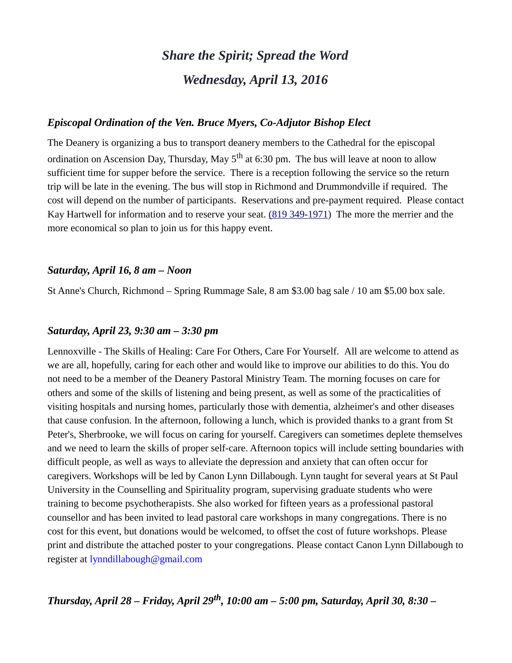# *Share the Spirit; Spread the Word Wednesday, April 13, 2016*

#### *Episcopal Ordination of the Ven. Bruce Myers, Co-Adjutor Bishop Elect*

The Deanery is organizing a bus to transport deanery members to the Cathedral for the episcopal ordination on Ascension Day, Thursday, May  $5<sup>th</sup>$  at 6:30 pm. The bus will leave at noon to allow sufficient time for supper before the service. There is a reception following the service so the return trip will be late in the evening. The bus will stop in Richmond and Drummondville if required. The cost will depend on the number of participants. Reservations and pre-payment required. Please contact Kay Hartwell for information and to reserve your seat. [\(819 349-1971\)](tel:(819%20349-1971) The more the merrier and the more economical so plan to join us for this happy event.

#### *Saturday, April 16, 8 am – Noon*

St Anne's Church, Richmond – Spring Rummage Sale, 8 am \$3.00 bag sale / 10 am \$5.00 box sale.

#### *Saturday, April 23, 9:30 am – 3:30 pm*

Lennoxville - The Skills of Healing: Care For Others, Care For Yourself. All are welcome to attend as we are all, hopefully, caring for each other and would like to improve our abilities to do this. You do not need to be a member of the Deanery Pastoral Ministry Team. The morning focuses on care for others and some of the skills of listening and being present, as well as some of the practicalities of visiting hospitals and nursing homes, particularly those with dementia, alzheimer's and other diseases that cause confusion. In the afternoon, following a lunch, which is provided thanks to a grant from St Peter's, Sherbrooke, we will focus on caring for yourself. Caregivers can sometimes deplete themselves and we need to learn the skills of proper self-care. Afternoon topics will include setting boundaries with difficult people, as well as ways to alleviate the depression and anxiety that can often occur for caregivers. Workshops will be led by Canon Lynn Dillabough. Lynn taught for several years at St Paul University in the Counselling and Spirituality program, supervising graduate students who were training to become psychotherapists. She also worked for fifteen years as a professional pastoral counsellor and has been invited to lead pastoral care workshops in many congregations. There is no cost for this event, but donations would be welcomed, to offset the cost of future workshops. Please print and distribute the attached poster to your congregations. Please contact Canon Lynn Dillabough to register at [lynndillabough@gmail.com](https://webmail.ubishops.ca/owa/redir.aspx?SURL=hdjYUT7WCUNYqFZijozknMHWJ3aRy6vsqTzrilp56ZtP3_2s-BXTCG0AYQBpAGwAdABvADoAbAB5AG4AbgBkAGkAbABsAGEAYgBvAHUAZwBoAEAAZwBtAGEAaQBsAC4AYwBvAG0A&URL=mailto%3Alynndillabough@gmail.com)

*Thursday, April 28 – Friday, April 29th, 10:00 am – 5:00 pm, Saturday, April 30, 8:30 –*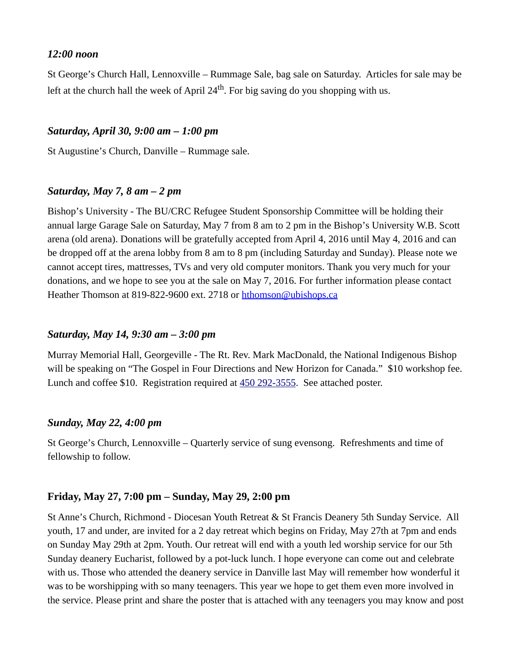#### *12:00 noon*

St George's Church Hall, Lennoxville – Rummage Sale, bag sale on Saturday. Articles for sale may be left at the church hall the week of April  $24<sup>th</sup>$ . For big saving do you shopping with us.

#### *Saturday, April 30, 9:00 am – 1:00 pm*

St Augustine's Church, Danville – Rummage sale.

#### *Saturday, May 7, 8 am – 2 pm*

Bishop's University - The BU/CRC Refugee Student Sponsorship Committee will be holding their annual large Garage Sale on Saturday, May 7 from 8 am to 2 pm in the Bishop's University W.B. Scott arena (old arena). Donations will be gratefully accepted from April 4, 2016 until May 4, 2016 and can be dropped off at the arena lobby from 8 am to 8 pm (including Saturday and Sunday). Please note we cannot accept tires, mattresses, TVs and very old computer monitors. Thank you very much for your donations, and we hope to see you at the sale on May 7, 2016. For further information please contact Heather Thomson at 819-822-9600 ext. 2718 or [hthomson@ubishops.ca](https://webmail.ubishops.ca/owa/redir.aspx?REF=FLnmocQHos1aSS6_izloWzXz-vn948huD0NonW8iwmC1KgSOCljTCAFtYWlsdG86aHRob21zb25AdWJpc2hvcHMuY2E.)

#### *Saturday, May 14, 9:30 am – 3:00 pm*

Murray Memorial Hall, Georgeville - The Rt. Rev. Mark MacDonald, the National Indigenous Bishop will be speaking on "The Gospel in Four Directions and New Horizon for Canada." \$10 workshop fee. Lunch and coffee \$10. Registration required at [450 292-3555.](tel:450%20292-3555) See attached poster.

#### *Sunday, May 22, 4:00 pm*

St George's Church, Lennoxville – Quarterly service of sung evensong. Refreshments and time of fellowship to follow.

#### **Friday, May 27, 7:00 pm – Sunday, May 29, 2:00 pm**

St Anne's Church, Richmond - Diocesan Youth Retreat & St Francis Deanery 5th Sunday Service. All youth, 17 and under, are invited for a 2 day retreat which begins on Friday, May 27th at 7pm and ends on Sunday May 29th at 2pm. Youth. Our retreat will end with a youth led worship service for our 5th Sunday deanery Eucharist, followed by a pot-luck lunch. I hope everyone can come out and celebrate with us. Those who attended the deanery service in Danville last May will remember how wonderful it was to be worshipping with so many teenagers. This year we hope to get them even more involved in the service. Please print and share the poster that is attached with any teenagers you may know and post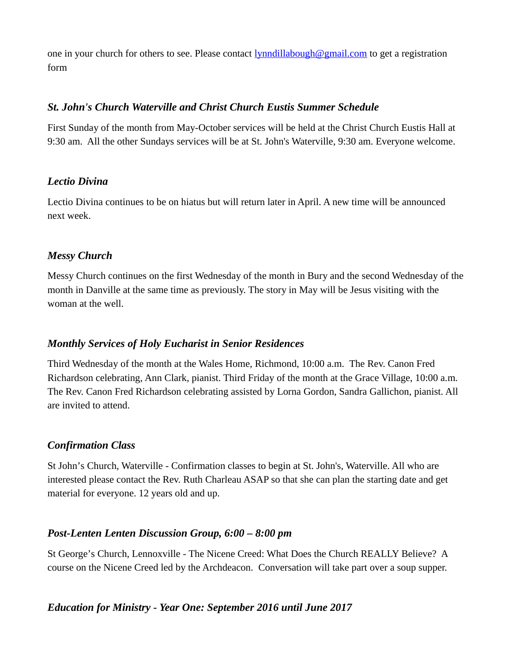one in your church for others to see. Please contact **[lynndillabough@gmail.com](https://webmail.ubishops.ca/owa/redir.aspx?REF=E0UZUrCIOcgLF1G_4qECzq3OrI1Fn6f2O_cEChPNSZXMHau5IF7TCAFtYWlsdG86bHlubmRpbGxhYm91Z2hAZ21haWwuY29t)** to get a registration form

## *St. John's Church Waterville and Christ Church Eustis Summer Schedule*

 First Sunday of the month from May-October services will be held at the Christ Church Eustis Hall at 9:30 am. All the other Sundays services will be at St. John's Waterville, 9:30 am. Everyone welcome.

## *Lectio Divina*

Lectio Divina continues to be on hiatus but will return later in April. A new time will be announced next week.

## *Messy Church*

Messy Church continues on the first Wednesday of the month in Bury and the second Wednesday of the month in Danville at the same time as previously. The story in May will be Jesus visiting with the woman at the well.

# *Monthly Services of Holy Eucharist in Senior Residences*

Third Wednesday of the month at the Wales Home, Richmond, 10:00 a.m. The Rev. Canon Fred Richardson celebrating, Ann Clark, pianist. Third Friday of the month at the Grace Village, 10:00 a.m. The Rev. Canon Fred Richardson celebrating assisted by Lorna Gordon, Sandra Gallichon, pianist. All are invited to attend.

# *Confirmation Class*

St John's Church, Waterville - Confirmation classes to begin at St. John's, Waterville. All who are interested please contact the Rev. Ruth Charleau ASAP so that she can plan the starting date and get material for everyone. 12 years old and up.

# *Post-Lenten Lenten Discussion Group, 6:00 – 8:00 pm*

St George's Church, Lennoxville - The Nicene Creed: What Does the Church REALLY Believe? A course on the Nicene Creed led by the Archdeacon. Conversation will take part over a soup supper.

# *Education for Ministry - Year One: September 2016 until June 2017*